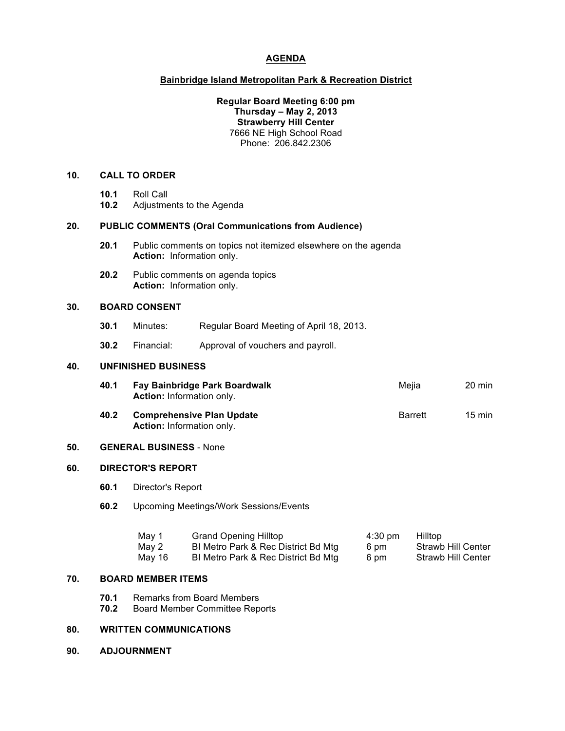## **AGENDA**

### **Bainbridge Island Metropolitan Park & Recreation District**

### **Regular Board Meeting 6:00 pm Thursday – May 2, 2013 Strawberry Hill Center** 7666 NE High School Road Phone: 206.842.2306

#### **10. CALL TO ORDER**

- **10.1** Roll Call
- **10.2** Adjustments to the Agenda

#### **20. PUBLIC COMMENTS (Oral Communications from Audience)**

- **20.1** Public comments on topics not itemized elsewhere on the agenda **Action:** Information only.
- **20.2** Public comments on agenda topics **Action:** Information only.

**Action:** Information only.

### **30. BOARD CONSENT**

- **30.1** Minutes: Regular Board Meeting of April 18, 2013.
- **30.2** Financial: Approval of vouchers and payroll.

### **40. UNFINISHED BUSINESS**

| 40.1 | Fay Bainbridge Park Boardwalk<br><b>Action:</b> Information only. | Meiia          | $20 \text{ min}$ |
|------|-------------------------------------------------------------------|----------------|------------------|
| 40.2 | <b>Comprehensive Plan Update</b>                                  | <b>Barrett</b> | $15 \text{ min}$ |

#### **50. GENERAL BUSINESS** - None

#### **60. DIRECTOR'S REPORT**

- **60.1** Director's Report
- **60.2** Upcoming Meetings/Work Sessions/Events

| May 1  | <b>Grand Opening Hilltop</b>        | $4:30 \text{ pm}$ | <b>Hilltop</b>            |
|--------|-------------------------------------|-------------------|---------------------------|
| May 2  | BI Metro Park & Rec District Bd Mtg | 6 pm              | <b>Strawb Hill Center</b> |
| May 16 | BI Metro Park & Rec District Bd Mtg | 6 pm              | <b>Strawb Hill Center</b> |

# **70. BOARD MEMBER ITEMS**

- **70.1** Remarks from Board Members
- **70.2** Board Member Committee Reports

# **80. WRITTEN COMMUNICATIONS**

**90. ADJOURNMENT**